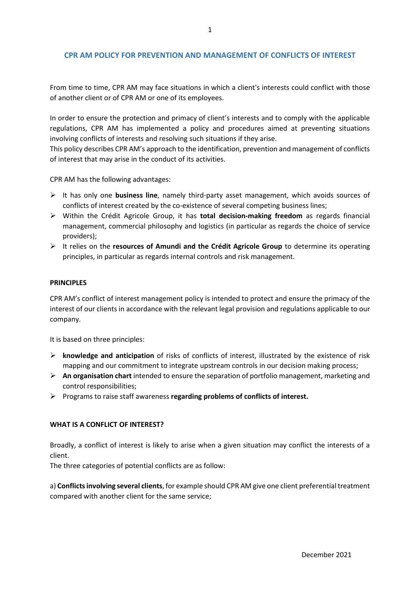## **CPR AM POLICY FOR PREVENTION AND MANAGEMENT OF CONFLICTS OF INTEREST**

From time to time, CPR AM may face situations in which a client's interests could conflict with those of another client or of CPR AM or one of its employees.

In order to ensure the protection and primacy of client's interests and to comply with the applicable regulations, CPR AM has implemented a policy and procedures aimed at preventing situations involving conflicts of interests and resolving such situations if they arise.

This policy describes CPR AM's approach to the identification, prevention and management of conflicts of interest that may arise in the conduct of its activities.

CPR AM has the following advantages:

- It has only one **business line**, namely third-party asset management, which avoids sources of conflicts of interest created by the co-existence of several competing business lines;
- Within the Crédit Agricole Group, it has **total decision-making freedom** as regards financial management, commercial philosophy and logistics (in particular as regards the choice of service providers);
- It relies on the **resources of Amundi and the Crédit Agricole Group** to determine its operating principles, in particular as regards internal controls and risk management.

#### **PRINCIPLES**

CPR AM's conflict of interest management policy is intended to protect and ensure the primacy of the interest of our clients in accordance with the relevant legal provision and regulations applicable to our company.

It is based on three principles:

- **knowledge and anticipation** of risks of conflicts of interest, illustrated by the existence of risk mapping and our commitment to integrate upstream controls in our decision making process;
- **An organisation chart** intended to ensure the separation of portfolio management, marketing and control responsibilities;
- Programs to raise staff awareness **regarding problems of conflicts of interest.**

#### **WHAT IS A CONFLICT OF INTEREST?**

Broadly, a conflict of interest is likely to arise when a given situation may conflict the interests of a client.

The three categories of potential conflicts are as follow:

a) **Conflicts involving several clients**, for example should CPR AM give one client preferentialtreatment compared with another client for the same service;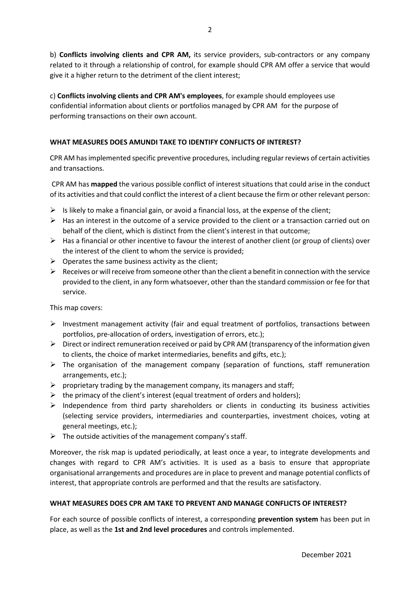b) **Conflicts involving clients and CPR AM,** its service providers, sub-contractors or any company related to it through a relationship of control, for example should CPR AM offer a service that would give it a higher return to the detriment of the client interest;

c) **Conflicts involving clients and CPR AM's employees**, for example should employees use confidential information about clients or portfolios managed by CPR AM for the purpose of performing transactions on their own account.

# **WHAT MEASURES DOES AMUNDI TAKE TO IDENTIFY CONFLICTS OF INTEREST?**

CPR AM has implemented specific preventive procedures, including regular reviews of certain activities and transactions.

CPR AM has **mapped** the various possible conflict of interest situations that could arise in the conduct of its activities and that could conflict the interest of a client because the firm or other relevant person:

- $\triangleright$  Is likely to make a financial gain, or avoid a financial loss, at the expense of the client;
- $\triangleright$  Has an interest in the outcome of a service provided to the client or a transaction carried out on behalf of the client, which is distinct from the client's interest in that outcome;
- $\triangleright$  Has a financial or other incentive to favour the interest of another client (or group of clients) over the interest of the client to whom the service is provided;
- $\triangleright$  Operates the same business activity as the client;
- $\triangleright$  Receives or will receive from someone other than the client a benefit in connection with the service provided to the client, in any form whatsoever, other than the standard commission or fee for that service.

This map covers:

- $\triangleright$  Investment management activity (fair and equal treatment of portfolios, transactions between portfolios, pre-allocation of orders, investigation of errors, etc.);
- $\triangleright$  Direct or indirect remuneration received or paid by CPR AM (transparency of the information given to clients, the choice of market intermediaries, benefits and gifts, etc.);
- $\triangleright$  The organisation of the management company (separation of functions, staff remuneration arrangements, etc.);
- $\triangleright$  proprietary trading by the management company, its managers and staff;
- $\triangleright$  the primacy of the client's interest (equal treatment of orders and holders);
- $\triangleright$  Independence from third party shareholders or clients in conducting its business activities (selecting service providers, intermediaries and counterparties, investment choices, voting at general meetings, etc.);
- $\triangleright$  The outside activities of the management company's staff.

Moreover, the risk map is updated periodically, at least once a year, to integrate developments and changes with regard to CPR AM's activities. It is used as a basis to ensure that appropriate organisational arrangements and procedures are in place to prevent and manage potential conflicts of interest, that appropriate controls are performed and that the results are satisfactory.

## **WHAT MEASURES DOES CPR AM TAKE TO PREVENT AND MANAGE CONFLICTS OF INTEREST?**

For each source of possible conflicts of interest, a corresponding **prevention system** has been put in place, as well as the **1st and 2nd level procedures** and controls implemented.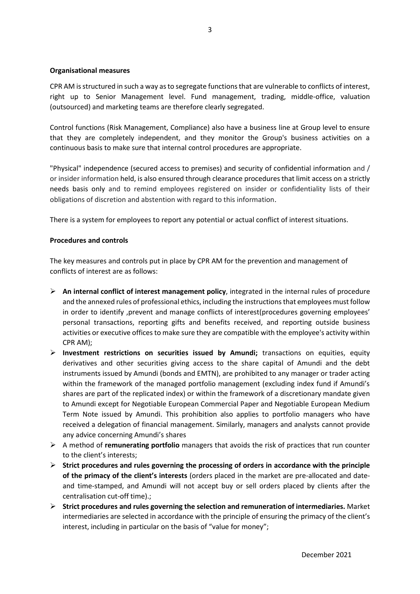#### **Organisational measures**

CPR AM is structured in such a way as to segregate functions that are vulnerable to conflicts of interest, right up to Senior Management level. Fund management, trading, middle-office, valuation (outsourced) and marketing teams are therefore clearly segregated.

Control functions (Risk Management, Compliance) also have a business line at Group level to ensure that they are completely independent, and they monitor the Group's business activities on a continuous basis to make sure that internal control procedures are appropriate.

"Physical" independence (secured access to premises) and security of confidential information and / or insider information held, is also ensured through clearance procedures that limit access on a strictly needs basis only and to remind employees registered on insider or confidentiality lists of their obligations of discretion and abstention with regard to this information.

There is a system for employees to report any potential or actual conflict of interest situations.

### **Procedures and controls**

The key measures and controls put in place by CPR AM for the prevention and management of conflicts of interest are as follows:

- **An internal conflict of interest management policy**, integrated in the internal rules of procedure and the annexed rules of professional ethics, including the instructions that employees must follow in order to identify ,prevent and manage conflicts of interest(procedures governing employees' personal transactions, reporting gifts and benefits received, and reporting outside business activities or executive offices to make sure they are compatible with the employee's activity within CPR AM);
- **Investment restrictions on securities issued by Amundi;** transactions on equities, equity derivatives and other securities giving access to the share capital of Amundi and the debt instruments issued by Amundi (bonds and EMTN), are prohibited to any manager or trader acting within the framework of the managed portfolio management (excluding index fund if Amundi's shares are part of the replicated index) or within the framework of a discretionary mandate given to Amundi except for Negotiable European Commercial Paper and Negotiable European Medium Term Note issued by Amundi. This prohibition also applies to portfolio managers who have received a delegation of financial management. Similarly, managers and analysts cannot provide any advice concerning Amundi's shares
- A method of **remunerating portfolio** managers that avoids the risk of practices that run counter to the client's interests;
- **Strict procedures and rules governing the processing of orders in accordance with the principle of the primacy of the client's interests** (orders placed in the market are pre-allocated and dateand time-stamped, and Amundi will not accept buy or sell orders placed by clients after the centralisation cut-off time).;
- **Strict procedures and rules governing the selection and remuneration of intermediaries.** Market intermediaries are selected in accordance with the principle of ensuring the primacy of the client's interest, including in particular on the basis of "value for money";